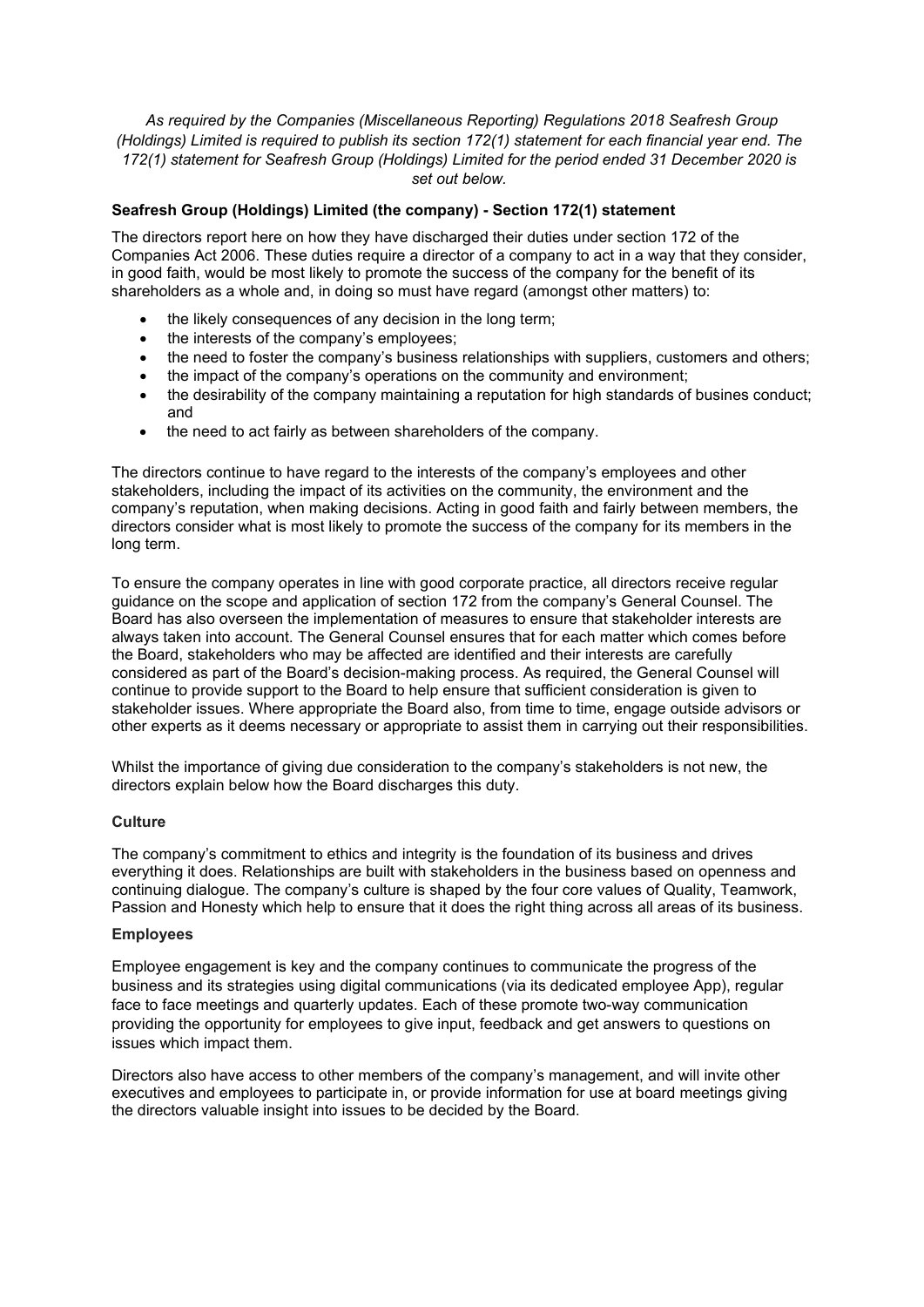*As required by the Companies (Miscellaneous Reporting) Regulations 2018 Seafresh Group (Holdings) Limited is required to publish its section 172(1) statement for each financial year end. The 172(1) statement for Seafresh Group (Holdings) Limited for the period ended 31 December 2020 is set out below.* 

## **Seafresh Group (Holdings) Limited (the company) - Section 172(1) statement**

The directors report here on how they have discharged their duties under section 172 of the Companies Act 2006. These duties require a director of a company to act in a way that they consider, in good faith, would be most likely to promote the success of the company for the benefit of its shareholders as a whole and, in doing so must have regard (amongst other matters) to:

- the likely consequences of any decision in the long term;
- the interests of the company's employees:
- the need to foster the company's business relationships with suppliers, customers and others;
- the impact of the company's operations on the community and environment;
- the desirability of the company maintaining a reputation for high standards of busines conduct; and
- the need to act fairly as between shareholders of the company.

The directors continue to have regard to the interests of the company's employees and other stakeholders, including the impact of its activities on the community, the environment and the company's reputation, when making decisions. Acting in good faith and fairly between members, the directors consider what is most likely to promote the success of the company for its members in the long term.

To ensure the company operates in line with good corporate practice, all directors receive regular guidance on the scope and application of section 172 from the company's General Counsel. The Board has also overseen the implementation of measures to ensure that stakeholder interests are always taken into account. The General Counsel ensures that for each matter which comes before the Board, stakeholders who may be affected are identified and their interests are carefully considered as part of the Board's decision-making process. As required, the General Counsel will continue to provide support to the Board to help ensure that sufficient consideration is given to stakeholder issues. Where appropriate the Board also, from time to time, engage outside advisors or other experts as it deems necessary or appropriate to assist them in carrying out their responsibilities.

Whilst the importance of giving due consideration to the company's stakeholders is not new, the directors explain below how the Board discharges this duty.

## **Culture**

The company's commitment to ethics and integrity is the foundation of its business and drives everything it does. Relationships are built with stakeholders in the business based on openness and continuing dialogue. The company's culture is shaped by the four core values of Quality, Teamwork, Passion and Honesty which help to ensure that it does the right thing across all areas of its business.

## **Employees**

Employee engagement is key and the company continues to communicate the progress of the business and its strategies using digital communications (via its dedicated employee App), regular face to face meetings and quarterly updates. Each of these promote two-way communication providing the opportunity for employees to give input, feedback and get answers to questions on issues which impact them.

Directors also have access to other members of the company's management, and will invite other executives and employees to participate in, or provide information for use at board meetings giving the directors valuable insight into issues to be decided by the Board.